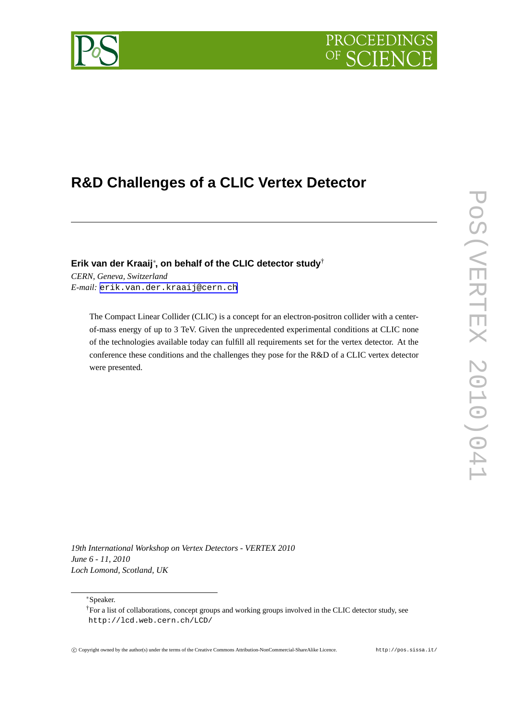# PROCEEDIN



## **R&D Challenges of a CLIC Vertex Detector**

**Erik van der Kraaij**<sup>∗</sup> **, on behalf of the CLIC detector study**†

*CERN, Geneva, Switzerland E-mail:* [erik.van.der.kraaij@cern.ch](mailto:erik.van.der.kraaij@cern.ch)

> The Compact Linear Collider (CLIC) is a concept for an electron-positron collider with a centerof-mass energy of up to 3 TeV. Given the unprecedented experimental conditions at CLIC none of the technologies available today can fulfill all requirements set for the vertex detector. At the conference these conditions and the challenges they pose for the R&D of a CLIC vertex detector were presented.

*19th International Workshop on Vertex Detectors - VERTEX 2010 June 6 - 11, 2010 Loch Lomond, Scotland, UK*

<sup>∗</sup>Speaker.

<sup>†</sup>For a list of collaborations, concept groups and working groups involved in the CLIC detector study, see http://lcd.web.cern.ch/LCD/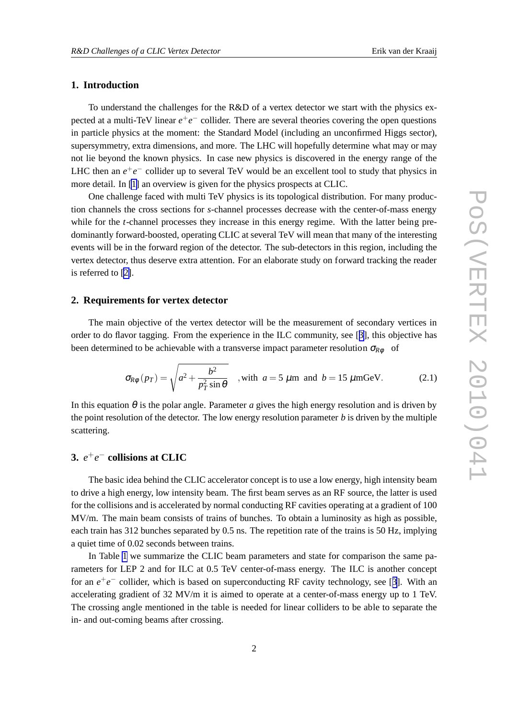#### <span id="page-1-0"></span>**1. Introduction**

To understand the challenges for the R&D of a vertex detector we start with the physics expected at a multi-TeV linear  $e^+e^-$  collider. There are several theories covering the open questions in particle physics at the moment: the Standard Model (including an unconfirmed Higgs sector), supersymmetry, extra dimensions, and more. The LHC will hopefully determine what may or may not lie beyond the known physics. In case new physics is discovered in the energy range of the LHC then an  $e^+e^-$  collider up to several TeV would be an excellent tool to study that physics in more detail. In [\[1\]](#page-7-0) an overview is given for the physics prospects at CLIC.

One challenge faced with multi TeV physics is its topological distribution. For many production channels the cross sections for *s*-channel processes decrease with the center-of-mass energy while for the *t*-channel processes they increase in this energy regime. With the latter being predominantly forward-boosted, operating CLIC at several TeV will mean that many of the interesting events will be in the forward region of the detector. The sub-detectors in this region, including the vertex detector, thus deserve extra attention. For an elaborate study on forward tracking the reader is referred to [\[2\]](#page-7-0).

#### **2. Requirements for vertex detector**

The main objective of the vertex detector will be the measurement of secondary vertices in order to do flavor tagging. From the experience in the ILC community, see [[3](#page-7-0)], this objective has been determined to be achievable with a transverse impact parameter resolution  $\sigma_{R\phi}$  of

$$
\sigma_{R\phi}(p_T) = \sqrt{a^2 + \frac{b^2}{p_T^2 \sin \theta}} \quad , \text{with } a = 5 \text{ }\mu\text{m and } b = 15 \text{ }\mu\text{mGeV}. \tag{2.1}
$$

In this equation  $\theta$  is the polar angle. Parameter *a* gives the high energy resolution and is driven by the point resolution of the detector. The low energy resolution parameter *b* is driven by the multiple scattering.

### **3.** *e*<sup>+</sup>*e*<sup>−</sup> **collisions at CLIC**

The basic idea behind the CLIC accelerator concept is to use a low energy, high intensity beam to drive a high energy, low intensity beam. The first beam serves as an RF source, the latter is used for the collisions and is accelerated by normal conducting RF cavities operating at a gradient of 100 MV/m. The main beam consists of trains of bunches. To obtain a luminosity as high as possible, each train has 312 bunches separated by 0.5 ns. The repetition rate of the trains is 50 Hz, implying a quiet time of 0.02 seconds between trains.

In Table [1](#page-2-0) we summarize the CLIC beam parameters and state for comparison the same parameters for LEP 2 and for ILC at 0.5 TeV center-of-mass energy. The ILC is another concept for an  $e^+e^-$  collider, which is based on superconducting RF cavity technology, see [[3\]](#page-7-0). With an accelerating gradient of 32 MV/m it is aimed to operate at a center-of-mass energy up to 1 TeV. The crossing angle mentioned in the table is needed for linear colliders to be able to separate the in- and out-coming beams after crossing.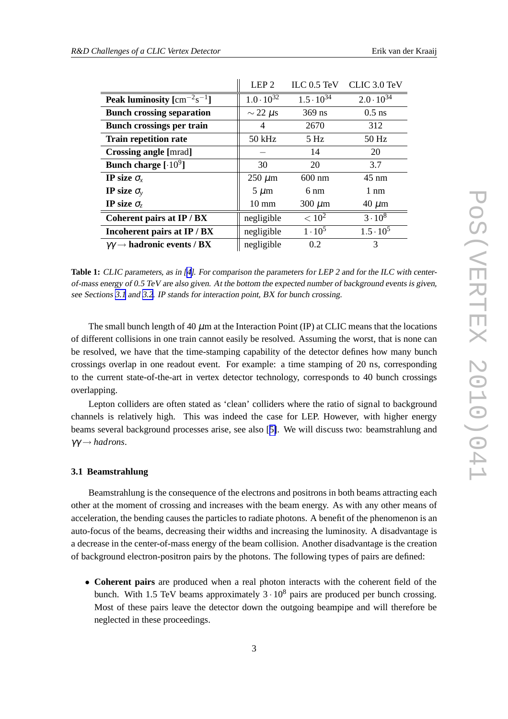<span id="page-2-0"></span>

|                                                               | LEP <sub>2</sub>    | ILC 0.5 TeV         | CLIC 3.0 TeV        |
|---------------------------------------------------------------|---------------------|---------------------|---------------------|
| <b>Peak luminosity</b> $\text{[cm}^{-2}\text{s}^{-1}\text{]}$ | $1.0 \cdot 10^{32}$ | $1.5 \cdot 10^{34}$ | $2.0 \cdot 10^{34}$ |
| <b>Bunch crossing separation</b>                              | $\sim$ 22 $\mu$ s   | $369$ ns            | $0.5$ ns            |
| <b>Bunch crossings per train</b>                              | 4                   | 2670                | 312                 |
| <b>Train repetition rate</b>                                  | $50$ kHz            | $5$ Hz              | 50 Hz               |
| <b>Crossing angle [mrad]</b>                                  |                     | 14                  | 20                  |
| Bunch charge $[.10^9]$                                        | 30                  | 20                  | 3.7                 |
| IP size $\sigma_{\rm r}$                                      | $250 \mu m$         | $600$ nm            | $45 \text{ nm}$     |
| IP size $\sigma_{v}$                                          | $5 \mu m$           | 6 nm                | $1 \text{ nm}$      |
| IP size $\sigma_z$                                            | $10 \text{ mm}$     | $300 \ \mu m$       | $40 \mu m$          |
| Coherent pairs at IP / BX                                     | negligible          | $< 10^{2}$          | $3 \cdot 10^8$      |
| Incoherent pairs at IP / BX                                   | negligible          | $1 \cdot 10^5$      | $1.5 \cdot 10^5$    |
| $\gamma\gamma \rightarrow$ hadronic events / BX               | negligible          | 0.2                 | 3                   |

**Table 1:** CLIC parameters, as in [\[4\]](#page-7-0). For comparison the parameters for LEP <sup>2</sup> and for the ILC with centerof-mass energy of 0.5 TeV are also given. At the bottom the expected number of background events is given, see Sections 3.1 and [3.2](#page-3-0). IP stands for interaction point, BX for bunch crossing.

The small bunch length of 40  $\mu$ m at the Interaction Point (IP) at CLIC means that the locations of different collisions in one train cannot easily be resolved. Assuming the worst, that is none can be resolved, we have that the time-stamping capability of the detector defines how many bunch crossings overlap in one readout event. For example: a time stamping of 20 ns, corresponding to the current state-of-the-art in vertex detector technology, corresponds to 40 bunch crossings overlapping.

Lepton colliders are often stated as 'clean' colliders where the ratio of signal to background channels is relatively high. This was indeed the case for LEP. However, with higher energy beams several background processes arise, see also [[5\]](#page-7-0). We will discuss two: beamstrahlung and  $\gamma\gamma \rightarrow hadrons.$ 

#### **3.1 Beamstrahlung**

Beamstrahlung is the consequence of the electrons and positrons in both beams attracting each other at the moment of crossing and increases with the beam energy. As with any other means of acceleration, the bending causes the particles to radiate photons. A benefit of the phenomenon is an auto-focus of the beams, decreasing their widths and increasing the luminosity. A disadvantage is a decrease in the center-of-mass energy of the beam collision. Another disadvantage is the creation of background electron-positron pairs by the photons. The following types of pairs are defined:

• **Coherent pairs** are produced when a real photon interacts with the coherent field of the bunch. With 1.5 TeV beams approximately  $3 \cdot 10^8$  pairs are produced per bunch crossing. Most of these pairs leave the detector down the outgoing beampipe and will therefore be neglected in these proceedings.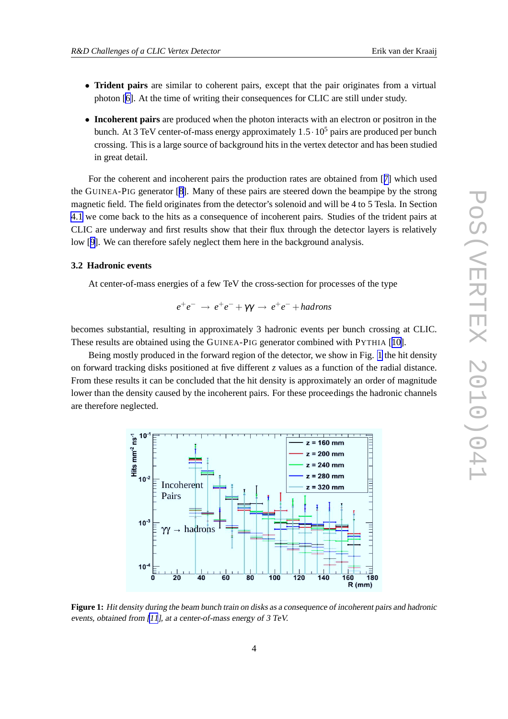- <span id="page-3-0"></span>• **Trident pairs** are similar to coherent pairs, except that the pair originates from a virtual photon [\[6\]](#page-7-0). At the time of writing their consequences for CLIC are still under study.
- **Incoherent pairs** are produced when the photon interacts with an electron or positron in the bunch. At 3 TeV center-of-mass energy approximately  $1.5 \cdot 10^5$  pairs are produced per bunch crossing. This is a large source of background hits in the vertex detector and has been studied in great detail.

For the coherent and incoherent pairs the production rates are obtained from [[7\]](#page-7-0) which used the GUINEA-PIG generator [[8\]](#page-7-0). Many of these pairs are steered down the beampipe by the strong magnetic field. The field originates from the detector's solenoid and will be 4 to 5 Tesla. In Section [4.1](#page-4-0) we come back to the hits as a consequence of incoherent pairs. Studies of the trident pairs at CLIC are underway and first results show that their flux through the detector layers is relatively low [[9](#page-7-0)]. We can therefore safely neglect them here in the background analysis.

#### **3.2 Hadronic events**

At center-of-mass energies of a few TeV the cross-section for processes of the type

$$
e^+e^- \rightarrow e^+e^- + \gamma\gamma \rightarrow e^+e^- + hadrons
$$

becomes substantial, resulting in approximately 3 hadronic events per bunch crossing at CLIC. These results are obtained using the GUINEA-PIG generator combined with PYTHIA [[10\]](#page-7-0).

Being mostly produced in the forward region of the detector, we show in Fig. 1 the hit density on forward tracking disks positioned at five different *z* values as a function of the radial distance. From these results it can be concluded that the hit density is approximately an order of magnitude lower than the density caused by the incoherent pairs. For these proceedings the hadronic channels are therefore neglected.



**Figure 1:** Hit density during the beam bunch train on disks as <sup>a</sup> consequence of incoherent pairs and hadronic events, obtained from [\[11](#page-7-0)], at <sup>a</sup> center-of-mass energy of <sup>3</sup> TeV.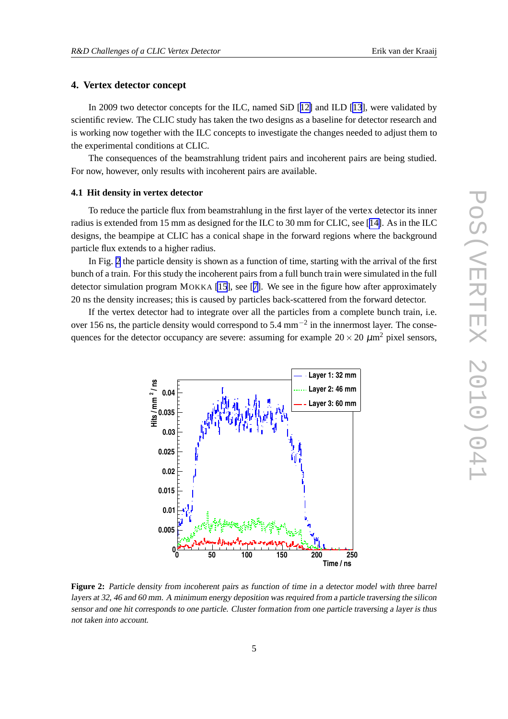#### <span id="page-4-0"></span>**4. Vertex detector concept**

In 2009 two detector concepts for the ILC, named SiD [[12\]](#page-7-0) and ILD [\[13](#page-7-0)], were validated by scientific review. The CLIC study has taken the two designs as a baseline for detector research and is working now together with the ILC concepts to investigate the changes needed to adjust them to the experimental conditions at CLIC.

The consequences of the beamstrahlung trident pairs and incoherent pairs are being studied. For now, however, only results with incoherent pairs are available.

#### **4.1 Hit density in vertex detector**

To reduce the particle flux from beamstrahlung in the first layer of the vertex detector its inner radius is extended from 15 mm as designed for the ILC to 30 mm for CLIC, see [[14\]](#page-7-0). As in the ILC designs, the beampipe at CLIC has a conical shape in the forward regions where the background particle flux extends to a higher radius.

In Fig. 2 the particle density is shown as a function of time, starting with the arrival of the first bunch of a train. For this study the incoherent pairs from a full bunch train were simulated in the full detector simulation program MOKKA [\[15](#page-7-0)], see [[7\]](#page-7-0). We see in the figure how after approximately 20 ns the density increases; this is caused by particles back-scattered from the forward detector.

If the vertex detector had to integrate over all the particles from a complete bunch train, i.e. over 156 ns, the particle density would correspond to 5.4 mm<sup> $-2$ </sup> in the innermost layer. The consequences for the detector occupancy are severe: assuming for example  $20 \times 20 \ \mu m^2$  pixel sensors,



**Figure 2:** Particle density from incoherent pairs as function of time in <sup>a</sup> detector model with three barrel layers at 32, <sup>46</sup> and <sup>60</sup> mm. <sup>A</sup> minimum energy deposition was required from <sup>a</sup> particle traversing the silicon sensor and one hit corresponds to one particle. Cluster formation from one particle traversing <sup>a</sup> layer is thus not taken into account.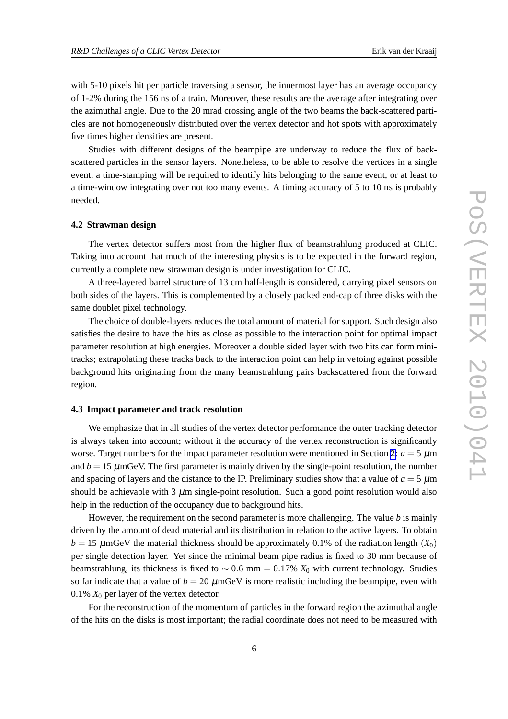with 5-10 pixels hit per particle traversing a sensor, the innermost layer has an average occupancy of 1-2% during the 156 ns of a train. Moreover, these results are the average after integrating over the azimuthal angle. Due to the 20 mrad crossing angle of the two beams the back-scattered particles are not homogeneously distributed over the vertex detector and hot spots with approximately five times higher densities are present.

Studies with different designs of the beampipe are underway to reduce the flux of backscattered particles in the sensor layers. Nonetheless, to be able to resolve the vertices in a single event, a time-stamping will be required to identify hits belonging to the same event, or at least to a time-window integrating over not too many events. A timing accuracy of 5 to 10 ns is probably needed.

#### **4.2 Strawman design**

The vertex detector suffers most from the higher flux of beamstrahlung produced at CLIC. Taking into account that much of the interesting physics is to be expected in the forward region, currently a complete new strawman design is under investigation for CLIC.

A three-layered barrel structure of 13 cm half-length is considered, carrying pixel sensors on both sides of the layers. This is complemented by a closely packed end-cap of three disks with the same doublet pixel technology.

The choice of double-layers reduces the total amount of material for support. Such design also satisfies the desire to have the hits as close as possible to the interaction point for optimal impact parameter resolution at high energies. Moreover a double sided layer with two hits can form minitracks; extrapolating these tracks back to the interaction point can help in vetoing against possible background hits originating from the many beamstrahlung pairs backscattered from the forward region.

#### **4.3 Impact parameter and track resolution**

We emphasize that in all studies of the vertex detector performance the outer tracking detector is always taken into account; without it the accuracy of the vertex reconstruction is significantly worse. Target numbers for the impact parameter resolution were mentioned in Section [2:](#page-1-0)  $a = 5 \mu m$ and  $b = 15 \mu \text{mGeV}$ . The first parameter is mainly driven by the single-point resolution, the number and spacing of layers and the distance to the IP. Preliminary studies show that a value of  $a = 5 \mu m$ should be achievable with 3  $\mu$ m single-point resolution. Such a good point resolution would also help in the reduction of the occupancy due to background hits.

However, the requirement on the second parameter is more challenging. The value *b* is mainly driven by the amount of dead material and its distribution in relation to the active layers. To obtain  $b = 15 \mu$ mGeV the material thickness should be approximately 0.1% of the radiation length  $(X_0)$ per single detection layer. Yet since the minimal beam pipe radius is fixed to 30 mm because of beamstrahlung, its thickness is fixed to  $\sim$  0.6 mm = 0.17%  $X_0$  with current technology. Studies so far indicate that a value of  $b = 20 \mu m$ GeV is more realistic including the beampipe, even with 0.1%  $X_0$  per layer of the vertex detector.

For the reconstruction of the momentum of particles in the forward region the azimuthal angle of the hits on the disks is most important; the radial coordinate does not need to be measured with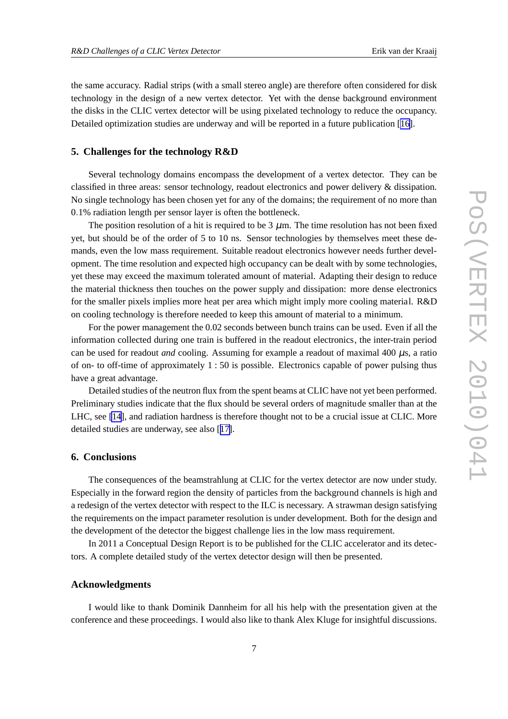the same accuracy. Radial strips (with a small stereo angle) are therefore often considered for disk technology in the design of a new vertex detector. Yet with the dense background environment the disks in the CLIC vertex detector will be using pixelated technology to reduce the occupancy. Detailed optimization studies are underway and will be reported in a future publication [[16\]](#page-7-0).

#### **5. Challenges for the technology R&D**

Several technology domains encompass the development of a vertex detector. They can be classified in three areas: sensor technology, readout electronics and power delivery & dissipation. No single technology has been chosen yet for any of the domains; the requirement of no more than 0.1% radiation length per sensor layer is often the bottleneck.

The position resolution of a hit is required to be  $3 \mu$ m. The time resolution has not been fixed yet, but should be of the order of 5 to 10 ns. Sensor technologies by themselves meet these demands, even the low mass requirement. Suitable readout electronics however needs further development. The time resolution and expected high occupancy can be dealt with by some technologies, yet these may exceed the maximum tolerated amount of material. Adapting their design to reduce the material thickness then touches on the power supply and dissipation: more dense electronics for the smaller pixels implies more heat per area which might imply more cooling material. R&D on cooling technology is therefore needed to keep this amount of material to a minimum.

For the power management the 0.02 seconds between bunch trains can be used. Even if all the information collected during one train is buffered in the readout electronics, the inter-train period can be used for readout *and* cooling. Assuming for example a readout of maximal 400 µs, a ratio of on- to off-time of approximately 1 : 50 is possible. Electronics capable of power pulsing thus have a great advantage.

Detailed studies of the neutron flux from the spent beams at CLIC have not yet been performed. Preliminary studies indicate that the flux should be several orders of magnitude smaller than at the LHC, see [\[14](#page-7-0)], and radiation hardness is therefore thought not to be a crucial issue at CLIC. More detailed studies are underway, see also [[17\]](#page-7-0).

#### **6. Conclusions**

The consequences of the beamstrahlung at CLIC for the vertex detector are now under study. Especially in the forward region the density of particles from the background channels is high and a redesign of the vertex detector with respect to the ILC is necessary. A strawman design satisfying the requirements on the impact parameter resolution is under development. Both for the design and the development of the detector the biggest challenge lies in the low mass requirement.

In 2011 a Conceptual Design Report is to be published for the CLIC accelerator and its detectors. A complete detailed study of the vertex detector design will then be presented.

#### **Acknowledgments**

I would like to thank Dominik Dannheim for all his help with the presentation given at the conference and these proceedings. I would also like to thank Alex Kluge for insightful discussions.